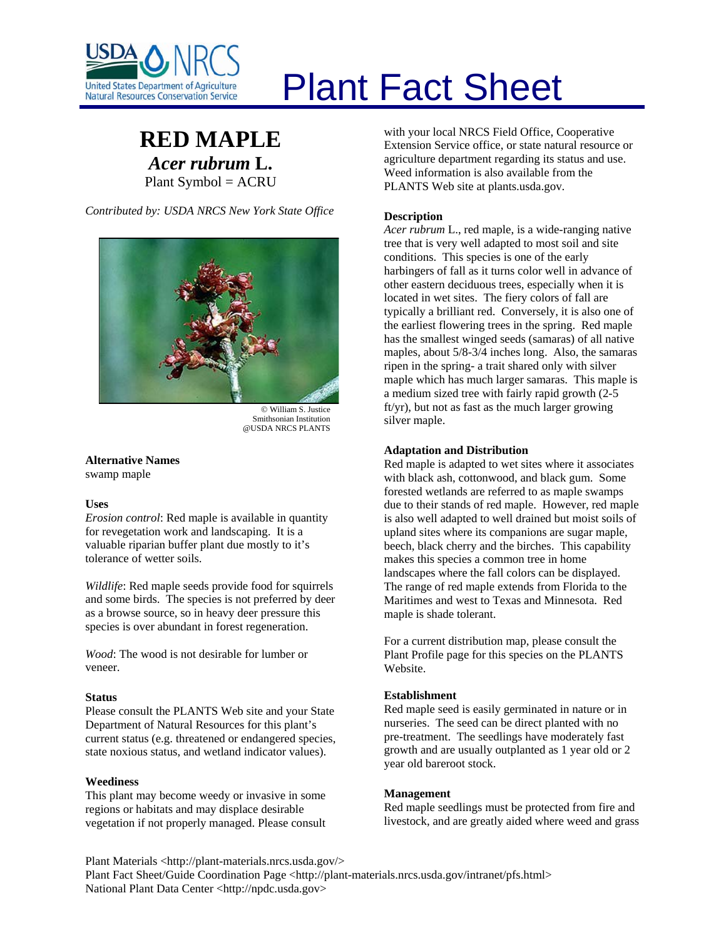

# Plant Fact Sheet

# **RED MAPLE** *Acer rubrum* **L.** Plant Symbol = ACRU

*Contributed by: USDA NRCS New York State Office* 



© William S. Justice Smithsonian Institution @USDA NRCS PLANTS

**Alternative Names**  swamp maple

# **Uses**

*Erosion control*: Red maple is available in quantity for revegetation work and landscaping. It is a valuable riparian buffer plant due mostly to it's tolerance of wetter soils.

*Wildlife*: Red maple seeds provide food for squirrels and some birds. The species is not preferred by deer as a browse source, so in heavy deer pressure this species is over abundant in forest regeneration.

*Wood*: The wood is not desirable for lumber or veneer.

### **Status**

Please consult the PLANTS Web site and your State Department of Natural Resources for this plant's current status (e.g. threatened or endangered species, state noxious status, and wetland indicator values).

# **Weediness**

This plant may become weedy or invasive in some regions or habitats and may displace desirable vegetation if not properly managed. Please consult with your local NRCS Field Office, Cooperative Extension Service office, or state natural resource or agriculture department regarding its status and use. Weed information is also available from the PLANTS Web site at plants.usda.gov.

# **Description**

*Acer rubrum* L., red maple, is a wide-ranging native tree that is very well adapted to most soil and site conditions. This species is one of the early harbingers of fall as it turns color well in advance of other eastern deciduous trees, especially when it is located in wet sites. The fiery colors of fall are typically a brilliant red. Conversely, it is also one of the earliest flowering trees in the spring. Red maple has the smallest winged seeds (samaras) of all native maples, about 5/8-3/4 inches long. Also, the samaras ripen in the spring- a trait shared only with silver maple which has much larger samaras. This maple is a medium sized tree with fairly rapid growth (2-5 ft/yr), but not as fast as the much larger growing silver maple.

# **Adaptation and Distribution**

Red maple is adapted to wet sites where it associates with black ash, cottonwood, and black gum. Some forested wetlands are referred to as maple swamps due to their stands of red maple. However, red maple is also well adapted to well drained but moist soils of upland sites where its companions are sugar maple, beech, black cherry and the birches. This capability makes this species a common tree in home landscapes where the fall colors can be displayed. The range of red maple extends from Florida to the Maritimes and west to Texas and Minnesota. Red maple is shade tolerant.

For a current distribution map, please consult the Plant Profile page for this species on the PLANTS Website.

### **Establishment**

Red maple seed is easily germinated in nature or in nurseries. The seed can be direct planted with no pre-treatment. The seedlings have moderately fast growth and are usually outplanted as 1 year old or 2 year old bareroot stock.

### **Management**

Red maple seedlings must be protected from fire and livestock, and are greatly aided where weed and grass

Plant Materials <http://plant-materials.nrcs.usda.gov/> Plant Fact Sheet/Guide Coordination Page <http://plant-materials.nrcs.usda.gov/intranet/pfs.html> National Plant Data Center <http://npdc.usda.gov>